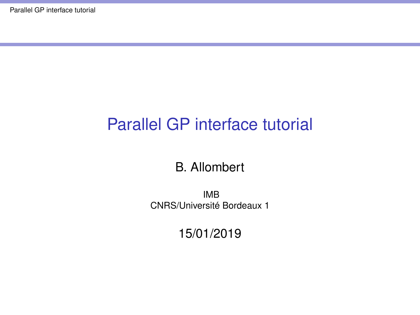## <span id="page-0-0"></span>Parallel GP interface tutorial

#### B. Allombert

IMB CNRS/Université Bordeaux 1

15/01/2019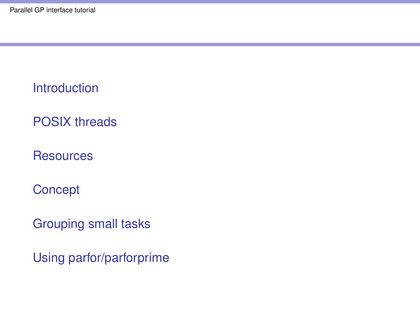**[Introduction](#page-2-0)** 

[POSIX threads](#page-3-0)

**[Resources](#page-4-0)** 

**[Concept](#page-7-0)** 

[Grouping small tasks](#page-12-0)

[Using parfor/parforprime](#page-13-0)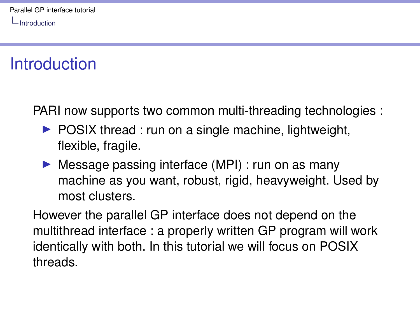<span id="page-2-0"></span>[Introduction](#page-2-0)

## **Introduction**

PARI now supports two common multi-threading technologies :

- $\triangleright$  POSIX thread : run on a single machine, lightweight, flexible, fragile.
- $\triangleright$  Message passing interface (MPI) : run on as many machine as you want, robust, rigid, heavyweight. Used by most clusters.

However the parallel GP interface does not depend on the multithread interface : a properly written GP program will work identically with both. In this tutorial we will focus on POSIX threads.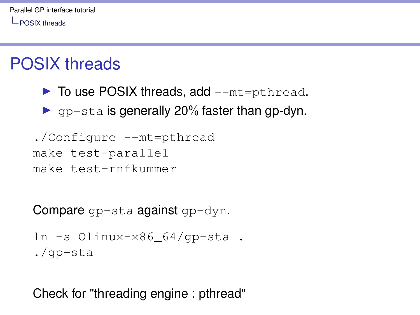<span id="page-3-0"></span>[POSIX threads](#page-3-0)

## POSIX threads

- $\triangleright$  To use POSIX threads, add  $--$ mt=pthread.
- $\triangleright$  gp-sta is generally 20% faster than gp-dyn.
- ./Configure --mt=pthread
- make test-parallel
- make test-rnfkummer

Compare gp-sta against gp-dyn.

ln -s Olinux-x86\_64/gp-sta . ./gp-sta

Check for "threading engine : pthread"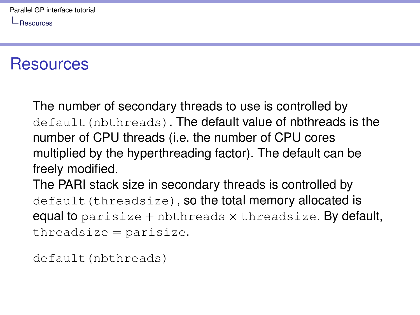<span id="page-4-0"></span>[Resources](#page-4-0)

#### **Resources**

The number of secondary threads to use is controlled by default (nbthreads). The default value of nbthreads is the number of CPU threads (i.e. the number of CPU cores multiplied by the hyperthreading factor). The default can be freely modified.

The PARI stack size in secondary threads is controlled by default (threadsize), so the total memory allocated is equal to parisize  $+$  nbthreads  $\times$  threadsize. By default,  $three\, \text{distance} = \text{particle}.$ 

default(nbthreads)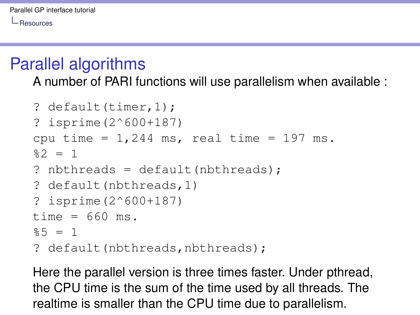**-** [Resources](#page-4-0)

#### Parallel algorithms

A number of PARI functions will use parallelism when available :

```
? default(timer.1) :
? isprime(2^600+187)
cpu time = 1,244 ms, real time = 197 ms.
22 = 1? nbthreads = default(nbthreads);
? default(nbthreads,1)
? isprime(2^600+187)
time = 660 ms.%5 = 1? default(nbthreads,nbthreads);
```
Here the parallel version is three times faster. Under pthread, the CPU time is the sum of the time used by all threads. The realtime is smaller than the CPU time due to parallelism.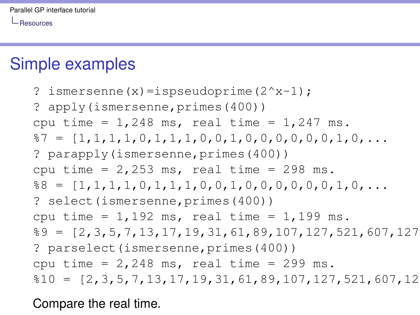L [Resources](#page-4-0)

#### Simple examples

? ismersenne $(x)$ =ispseudoprime $(2^x - 1)$ ; ? apply(ismersenne,primes(400)) cpu time =  $1,248$  ms, real time =  $1,247$  ms. %7 = [1,1,1,1,0,1,1,1,0,0,1,0,0,0,0,0,0,1,0,... ? parapply(ismersenne,primes(400)) cpu time =  $2,253$  ms, real time =  $298$  ms. %8 = [1,1,1,1,0,1,1,1,0,0,1,0,0,0,0,0,0,1,0,... ? select(ismersenne, primes(400)) cpu time =  $1,192$  ms, real time =  $1,199$  ms.  $\text{\$9} = [2, 3, 5, 7, 13, 17, 19, 31, 61, 89, 107, 127, 521, 607, 127]$ ? parselect(ismersenne,primes(400)) cpu time =  $2,248$  ms, real time =  $299$  ms.  $$10 = [2,3,5,7,13,17,19,31,61,89,107,127,521,607,12]$ 

Compare the real time.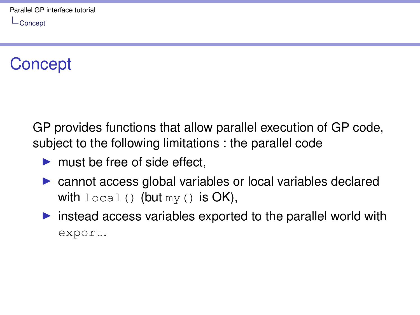## <span id="page-7-0"></span>**Concept**

GP provides functions that allow parallel execution of GP code, subject to the following limitations : the parallel code

- $\blacktriangleright$  must be free of side effect.
- $\triangleright$  cannot access global variables or local variables declared with  $local()$  (but  $my()$  is OK),
- $\triangleright$  instead access variables exported to the parallel world with export.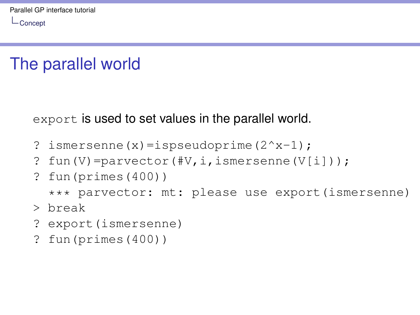## The parallel world

export is used to set values in the parallel world.

- ? ismersenne $(x)$ =ispseudoprime $(2^x 1)$ ;
- ? fun(V)=parvector(#V,i,ismersenne(V[i]));
- ? fun(primes(400))

```
*** parvector: mt: please use export(ismersenne)
```
- > break
- ? export(ismersenne)
- ? fun(primes(400))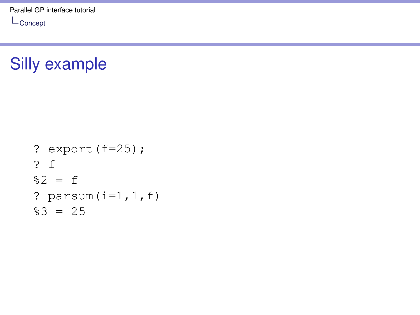$L_{\text{Concept}}$  $L_{\text{Concept}}$  $L_{\text{Concept}}$ 

## Silly example

```
? export(f=25);
? f
82 = f? parsum(i=1, 1, f)83 = 25
```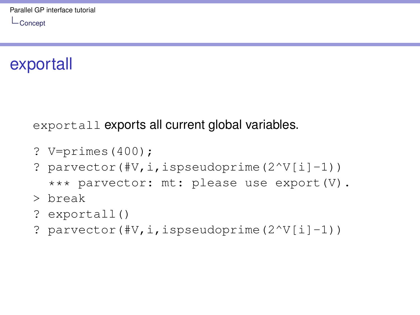## exportall

exportall exports all current global variables.

- ? V=primes(400);
- ? parvector(#V, i, ispseudoprime( $2^V[i]-1$ ))

\*\*\* parvector: mt: please use export (V).

- > break
- ? exportall()
- ? parvector(#V, i, ispseudoprime( $2^V[i]-1$ ))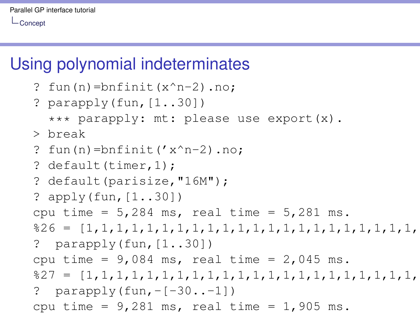## Using polynomial indeterminates

```
? fun(n)=bnfinit(x^n-2).no;
? parapply(fun, [1..30])
  *** parapply: mt: please use export (x).
> break
? fun(n)=bnfinite('x^n - 2) .no;? default(timer, 1);
? default(parisize,"16M");
? apply(fun,[1..30])
cpu time = 5,284 ms, real time = 5,281 ms.
%26 = [1,1,1,1,1,1,1,1,1,1,1,1,1,1,1,1,1,1,1,1,1,1,1,1,1,1,1,1,1,1]
? parapply(fun, [1..30])
cpu time = 9,084 ms, real time = 2,045 ms.
%27 = [1,1,1,1,1,1,1,1,1,1,1,1,1,1,1,1,1,1,1,1,1,1,1,1,1,1,1,1,1,1]
? parapply(fun, -[-30...-1])
```

```
cpu time = 9,281 ms, real time = 1,905 ms.
```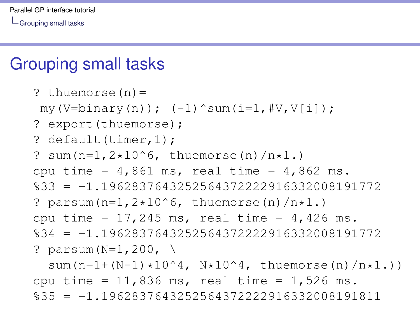<span id="page-12-0"></span>[Grouping small tasks](#page-12-0)

#### Grouping small tasks

```
? thuemorse(n)=
my(V=binary(n)); (-1)^ssum(i=1,HV,V[i]);
? export(thuemorse);
? default(timer, 1);
? sum(n=1,2*10^6, thuemorse(n)/n*1.)
cpu time = 4,861 ms, real time = 4,862 ms.
833 = -1.1962837643252564372222916332008191772? parsum(n=1,2*10^6, thuemorse(n)/n*1.)
cpu time = 17,245 ms, real time = 4,426 ms.
%34 = -1.1962837643252564372222916332008191772
? parsum(N=1,200, \
```
sum(n=1+(N-1)\*10^4, N\*10^4, thuemorse(n)/n\*1.)) cpu time = 11,836 ms, real time = 1,526 ms.  $835 = -1.1962837643252564372222916332008191811$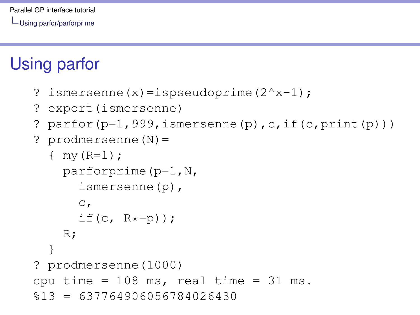## <span id="page-13-0"></span>Using parfor

- ? ismersenne(x)=ispseudoprime(2^x-1);
- ? export(ismersenne)
- ? parfor( $p=1,999$ , ismersenne(p), c, if(c,  $print(p))$ )
- ? prodmersenne(N)=

```
\{ my (R=1);
    parforprime(p=1,N,
      ismersenne(p),
      \mathbb{C},
      if(c, R*=p));
    R;
  }
? prodmersenne(1000)
cpu time = 108 ms, real time = 31 ms.
$13 = 637764906056784026430
```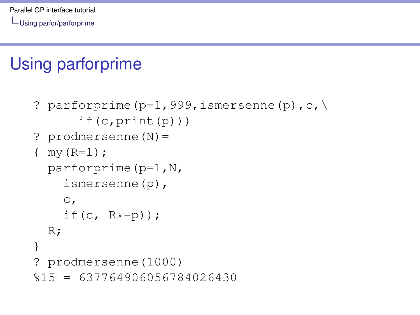# Using parforprime

```
? parforprime(p=1,999,ismersenne(p),c,\
      if(c,print(p)))? prodmersenne(N)=
\{ my (R=1);
  parforprime(p=1,N,
    ismersenne(p),
    \mathbb{C},
    if(c, R*=p);
  R;
}
? prodmersenne(1000)
$15 = 637764906056784026430
```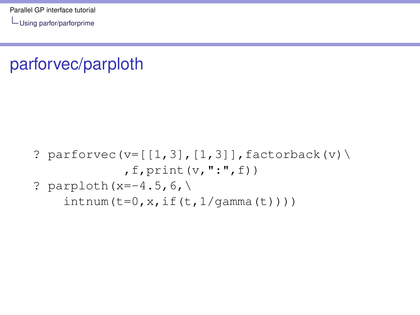# parforvec/parploth

- ? parforvec(v= $[[1,3],[1,3]]$ , factorback(v)\  $,f,$ print $(v,'':".f)$ )
- ? parploth(x=-4.5,6,\ intnum( $t=0$ , x, if( $t$ ,  $1$ /qamma( $t$ ))))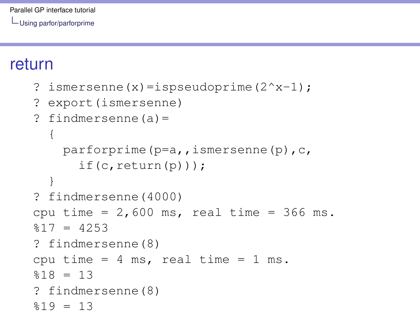#### return

```
? ismersenne(x)=ispseudoprime(2^x - 1);
```

```
? export(ismersenne)
```

```
? findmersenne(a)=
  {
    parforprime(p=a,,ismersenne(p),c,
      if(c, return(p));
  }
? findmersenne(4000)
cpu time = 2,600 ms, real time = 366 ms.
$17 = 4253? findmersenne(8)
cpu time = 4 ms, real time = 1 ms.
$18 = 13? findmersenne(8)
$19 = 13
```